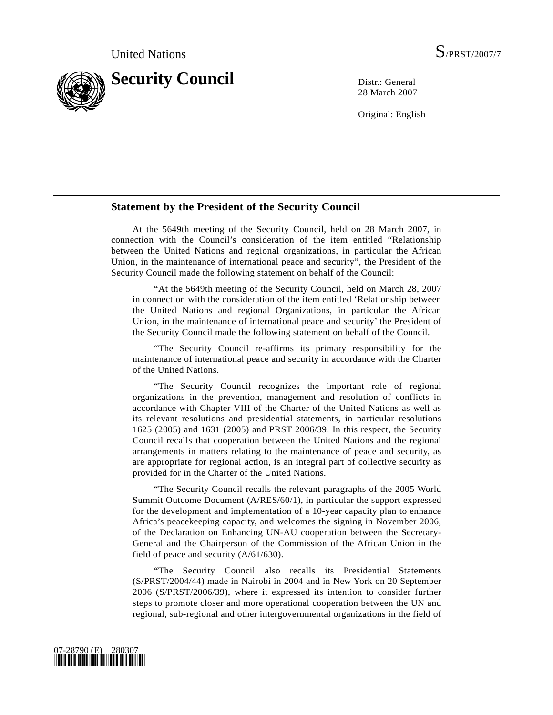

28 March 2007

Original: English

## **Statement by the President of the Security Council**

 At the 5649th meeting of the Security Council, held on 28 March 2007, in connection with the Council's consideration of the item entitled "Relationship between the United Nations and regional organizations, in particular the African Union, in the maintenance of international peace and security", the President of the Security Council made the following statement on behalf of the Council:

 "At the 5649th meeting of the Security Council, held on March 28, 2007 in connection with the consideration of the item entitled 'Relationship between the United Nations and regional Organizations, in particular the African Union, in the maintenance of international peace and security' the President of the Security Council made the following statement on behalf of the Council.

 "The Security Council re-affirms its primary responsibility for the maintenance of international peace and security in accordance with the Charter of the United Nations.

 "The Security Council recognizes the important role of regional organizations in the prevention, management and resolution of conflicts in accordance with Chapter VIII of the Charter of the United Nations as well as its relevant resolutions and presidential statements, in particular resolutions 1625 (2005) and 1631 (2005) and PRST 2006/39. In this respect, the Security Council recalls that cooperation between the United Nations and the regional arrangements in matters relating to the maintenance of peace and security, as are appropriate for regional action, is an integral part of collective security as provided for in the Charter of the United Nations.

 "The Security Council recalls the relevant paragraphs of the 2005 World Summit Outcome Document (A/RES/60/1), in particular the support expressed for the development and implementation of a 10-year capacity plan to enhance Africa's peacekeeping capacity, and welcomes the signing in November 2006, of the Declaration on Enhancing UN-AU cooperation between the Secretary-General and the Chairperson of the Commission of the African Union in the field of peace and security (A/61/630).

 "The Security Council also recalls its Presidential Statements (S/PRST/2004/44) made in Nairobi in 2004 and in New York on 20 September 2006 (S/PRST/2006/39), where it expressed its intention to consider further steps to promote closer and more operational cooperation between the UN and regional, sub-regional and other intergovernmental organizations in the field of

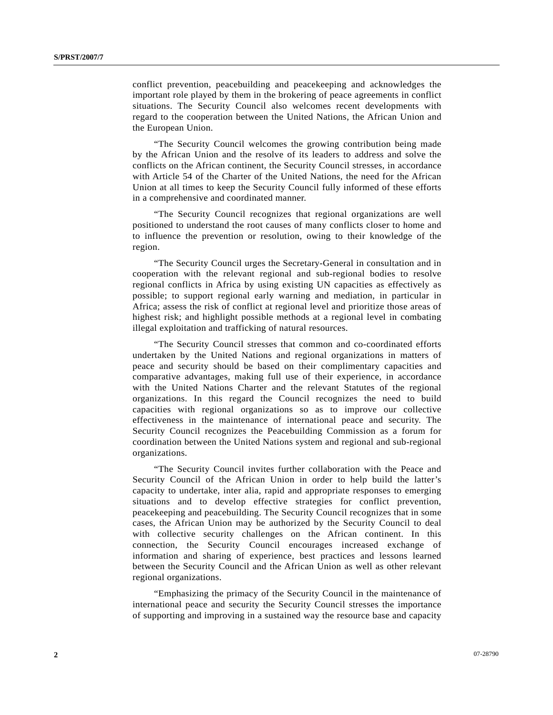conflict prevention, peacebuilding and peacekeeping and acknowledges the important role played by them in the brokering of peace agreements in conflict situations. The Security Council also welcomes recent developments with regard to the cooperation between the United Nations, the African Union and the European Union.

 "The Security Council welcomes the growing contribution being made by the African Union and the resolve of its leaders to address and solve the conflicts on the African continent, the Security Council stresses, in accordance with Article 54 of the Charter of the United Nations, the need for the African Union at all times to keep the Security Council fully informed of these efforts in a comprehensive and coordinated manner.

 "The Security Council recognizes that regional organizations are well positioned to understand the root causes of many conflicts closer to home and to influence the prevention or resolution, owing to their knowledge of the region.

 "The Security Council urges the Secretary-General in consultation and in cooperation with the relevant regional and sub-regional bodies to resolve regional conflicts in Africa by using existing UN capacities as effectively as possible; to support regional early warning and mediation, in particular in Africa; assess the risk of conflict at regional level and prioritize those areas of highest risk; and highlight possible methods at a regional level in combating illegal exploitation and trafficking of natural resources.

 "The Security Council stresses that common and co-coordinated efforts undertaken by the United Nations and regional organizations in matters of peace and security should be based on their complimentary capacities and comparative advantages, making full use of their experience, in accordance with the United Nations Charter and the relevant Statutes of the regional organizations. In this regard the Council recognizes the need to build capacities with regional organizations so as to improve our collective effectiveness in the maintenance of international peace and security. The Security Council recognizes the Peacebuilding Commission as a forum for coordination between the United Nations system and regional and sub-regional organizations.

 "The Security Council invites further collaboration with the Peace and Security Council of the African Union in order to help build the latter's capacity to undertake, inter alia, rapid and appropriate responses to emerging situations and to develop effective strategies for conflict prevention, peacekeeping and peacebuilding. The Security Council recognizes that in some cases, the African Union may be authorized by the Security Council to deal with collective security challenges on the African continent. In this connection, the Security Council encourages increased exchange of information and sharing of experience, best practices and lessons learned between the Security Council and the African Union as well as other relevant regional organizations.

 "Emphasizing the primacy of the Security Council in the maintenance of international peace and security the Security Council stresses the importance of supporting and improving in a sustained way the resource base and capacity